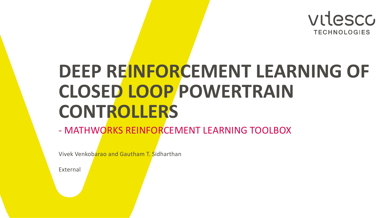

# **DEEP REINFORCEMENT LEARNING OF CLOSED LOOP POWERTRAIN CONTROLLERS**

### - MATHWORKS REINFORCEMENT LEARNING TOOLBOX

Vivek Venkobarao and Gautham T. Sidharthan

External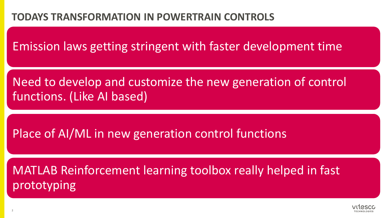### **TODAYS TRANSFORMATION IN POWERTRAIN CONTROLS**

Emission laws getting stringent with faster development time

Need to develop and customize the new generation of control functions. (Like AI based)

Place of AI/ML in new generation control functions

MATLAB Reinforcement learning toolbox really helped in fast prototyping

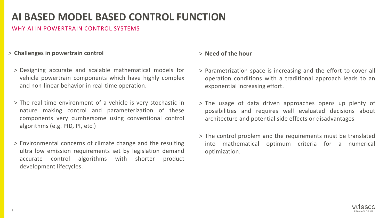### **AI BASED MODEL BASED CONTROL FUNCTION**

#### WHY AI IN POWERTRAIN CONTROL SYSTEMS

#### > **Challenges in powertrain control**

- > Designing accurate and scalable mathematical models for vehicle powertrain components which have highly complex and non-linear behavior in real-time operation.
- > The real-time environment of a vehicle is very stochastic in nature making control and parameterization of these components very cumbersome using conventional control algorithms (e.g. PID, PI, etc.)
- > Environmental concerns of climate change and the resulting ultra low emission requirements set by legislation demand accurate control algorithms with shorter product development lifecycles.

#### > **Need of the hour**

- > Parametrization space is increasing and the effort to cover all operation conditions with a traditional approach leads to an exponential increasing effort.
- > The usage of data driven approaches opens up plenty of possibilities and requires well evaluated decisions about architecture and potential side effects or disadvantages
- > The control problem and the requirements must be translated into mathematical optimum criteria for a numerical optimization.

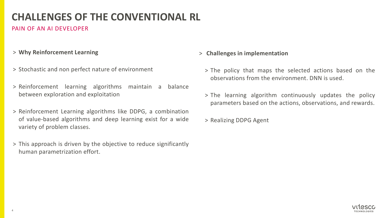## **CHALLENGES OF THE CONVENTIONAL RL**

### PAIN OF AN AI DEVELOPER

- > **Why Reinforcement Learning**
- > Stochastic and non perfect nature of environment
- > Reinforcement learning algorithms maintain a balance between exploration and exploitation
- > Reinforcement Learning algorithms like DDPG, a combination of value-based algorithms and deep learning exist for a wide variety of problem classes.
- > This approach is driven by the objective to reduce significantly human parametrization effort.
- > **Challenges in implementation**
	- > The policy that maps the selected actions based on the observations from the environment. DNN is used.
	- > The learning algorithm continuously updates the policy parameters based on the actions, observations, and rewards.
	- > Realizing DDPG Agent

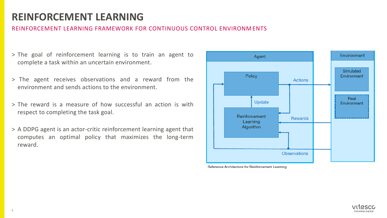### **REINFORCEMENT LEARNING**

#### REINFORCEMENT LEARNING FRAMEWORK FOR CONTINUOUS CONTROL ENVIRONMENTS

- > The goal of reinforcement learning is to train an agent to complete a task within an uncertain environment.
- > The agent receives observations and a reward from the environment and sends actions to the environment.
- > The reward is a measure of how successful an action is with respect to completing the task goal.
- > A DDPG agent is an actor-critic reinforcement learning agent that computes an optimal policy that maximizes the long-term reward.



Reference Architecture for Reinforcement Learning

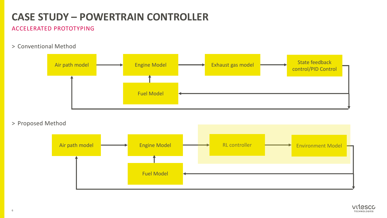## **CASE STUDY – POWERTRAIN CONTROLLER**

#### ACCELERATED PROTOTYPING

> Conventional Method



> Proposed Method



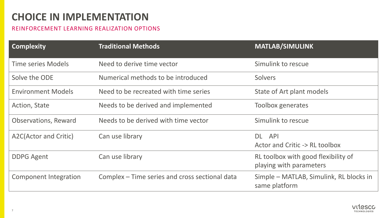### **CHOICE IN IMPLEMENTATION**

#### REINFORCEMENT LEARNING REALIZATION OPTIONS

| <b>Complexity</b>            | <b>Traditional Methods</b>                     | <b>MATLAB/SIMULINK</b>                                         |
|------------------------------|------------------------------------------------|----------------------------------------------------------------|
| <b>Time series Models</b>    | Need to derive time vector                     | Simulink to rescue                                             |
| Solve the ODE                | Numerical methods to be introduced             | <b>Solvers</b>                                                 |
| <b>Environment Models</b>    | Need to be recreated with time series          | State of Art plant models                                      |
| Action, State                | Needs to be derived and implemented            | <b>Toolbox generates</b>                                       |
| <b>Observations, Reward</b>  | Needs to be derived with time vector           | Simulink to rescue                                             |
| A2C(Actor and Critic)        | Can use library                                | DL API                                                         |
|                              |                                                | Actor and Critic -> RL toolbox                                 |
| <b>DDPG Agent</b>            | Can use library                                | RL toolbox with good flexibility of<br>playing with parameters |
| <b>Component Integration</b> | Complex – Time series and cross sectional data | Simple – MATLAB, Simulink, RL blocks in<br>same platform       |

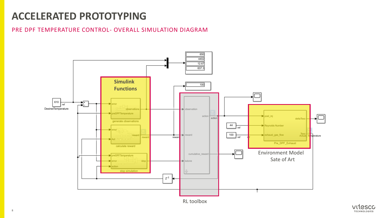#### PRE DPF TEMPERATURE CONTROL- OVERALL SIMULATION DIAGRAM





8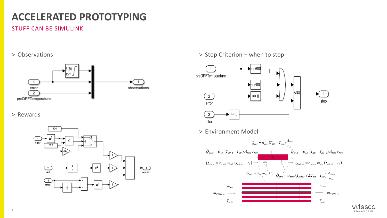#### STUFF CAN BE SIMULINK

#### > Observations



#### > Rewards



> Stop Criterion – when to stop



> Environment Model



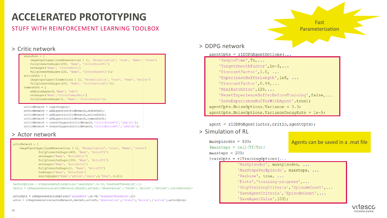#### STUFF WITH REINFORCEMENT LEARNING TOOLBOX

#### > Critic network

statePath =  $\sqrt{ }$ imageInputLayer([numObservations 1 1], 'Normalization', 'none', 'Name', 'State') fullyConnectedLayer(250, 'Name', 'CriticStateFC1') reluLayer('Name', 'CriticRelul') fullyConnectedLayer(225, 'Name', 'CriticStateFC2')];  $actionPath = \lceil$ imageInputLayer([numActions 1 1], 'Normalization', 'none', 'Name', 'Action') fullyConnectedLayer(225, 'Name', 'CriticActionFC1')];  $commonPath = [$ additionLayer(2, 'Name', 'add') reluLayer('Name','CriticCommonRelu') fullyConnectedLayer(1, 'Name', 'CriticOutput')];

 $criticNetwork = layerGraph()$ ; criticNetwork = addLayers(criticNetwork, statePath) ; criticNetwork = addLayers (criticNetwork, actionPath); criticNetwork = addLayers(criticNetwork, commonPath); criticNetwork = connectLayers(criticNetwork,'CriticStateFC2','add/in1'); criticNetwork = connectLayers(criticNetwork,'CriticActionFC1','add/in2');

#### > Actor network

#### $actorNetwork = [$ imageInputLayer([numObservations 1 1], 'Normalization', 'none', 'Name', 'state') fullyConnectedLayer(400, 'Name', 'ActorFC1') reluLayer('Name', 'ActorRelul') fullyConnectedLayer(300, 'Name', 'ActorFC2') reluLayer('Name', 'ActorRelu2') fullyConnectedLayer(1, 'Name', 'ActorFC3') tanhLayer('Name', 'ActorTanh') scalingLayer('Name','action','Scale',4,'Bias',-0.5)];

%actorOptions = rlRepresentationOptions('LearnRate', 1e-04, 'GradientThreshold', 1); %actor = rlRepresentation(actorNetwork,obsInfo,actInfo,'Observation',{'State'},'Action',{'Action'},actorOptions);

 $actorOpts = r1$ RepresentationOptions ('LearnRate', 1e-04, 'GradientThreshold', 1); actor = rlRepresentation(actorNetwork,obsInfo,actInfo,'Observation',{'state'},'Action',{'action'},actorOpts);

#### > DDPG network

#### $a$ qentOpts = rlDDPGAqentOptions(..

'SampleTime', Ts, ... 'TargetSmoothFactor', le-3, ... 'DiscountFactor', 1.0, ... 'ExperienceBufferLength', le5, ... 'DiscountFactor', 0.99, ... 'MiniBatchSize', 128, ... 'ResetExperienceBufferBeforeTraining', false,... 'SaveExperienceBufferWithAgent', true) ;  $a$ qentOpts. NoiseOptions. Variance = 0.3;  $a$ gentOpts. NoiseOptions. VarianceDecayRate =  $1e-5$ ;

 $agent = r1DDPGAgent(actor, critic, agentOpts);$ 

> Simulation of RL

maxepisodes =  $500$ ;  $\text{maxsteps} = \text{ceil}(\text{Tf/Ts})$ ; maxsteps =  $200$ ;  $trainOpts = r1TrainqOptions(...$  Agents can be saved in a .mat file

Fast Parameterization

'MaxEpisodes', maxepisodes, ... 'MaxStepsPerEpisode', maxsteps, ... 'Verbose', true, ... 'Plots', 'training-progress',... 'StopTrainingCriteria', 'EpisodeCount',... 'SaveAqentCriteria', 'EpisodeCount',... 'SaveAgentValue', 103);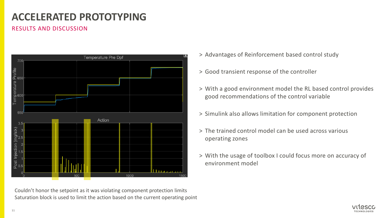#### RESULTS AND DISCUSSION



Couldn't honor the setpoint as it was violating component protection limits Saturation block is used to limit the action based on the current operating point

- > Advantages of Reinforcement based control study
- > Good transient response of the controller
- > With a good environment model the RL based control provides good recommendations of the control variable
- > Simulink also allows limitation for component protection
- > The trained control model can be used across various operating zones
- > With the usage of toolbox I could focus more on accuracy of environment model

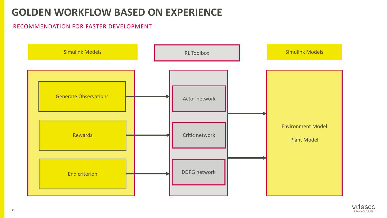### **GOLDEN WORKFLOW BASED ON EXPERIENCE**

### RECOMMENDATION FOR FASTER DEVELOPMENT



![](_page_11_Picture_3.jpeg)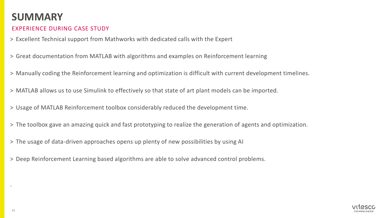### **SUMMARY**

### EXPERIENCE DURING CASE STUDY

- > Excellent Technical support from Mathworks with dedicated calls with the Expert
- > Great documentation from MATLAB with algorithms and examples on Reinforcement learning
- > Manually coding the Reinforcement learning and optimization is difficult with current development timelines.
- > MATLAB allows us to use Simulink to effectively so that state of art plant models can be imported.
- > Usage of MATLAB Reinforcement toolbox considerably reduced the development time.
- > The toolbox gave an amazing quick and fast prototyping to realize the generation of agents and optimization.
- > The usage of data-driven approaches opens up plenty of new possibilities by using AI
- > Deep Reinforcement Learning based algorithms are able to solve advanced control problems.

![](_page_12_Picture_10.jpeg)

.